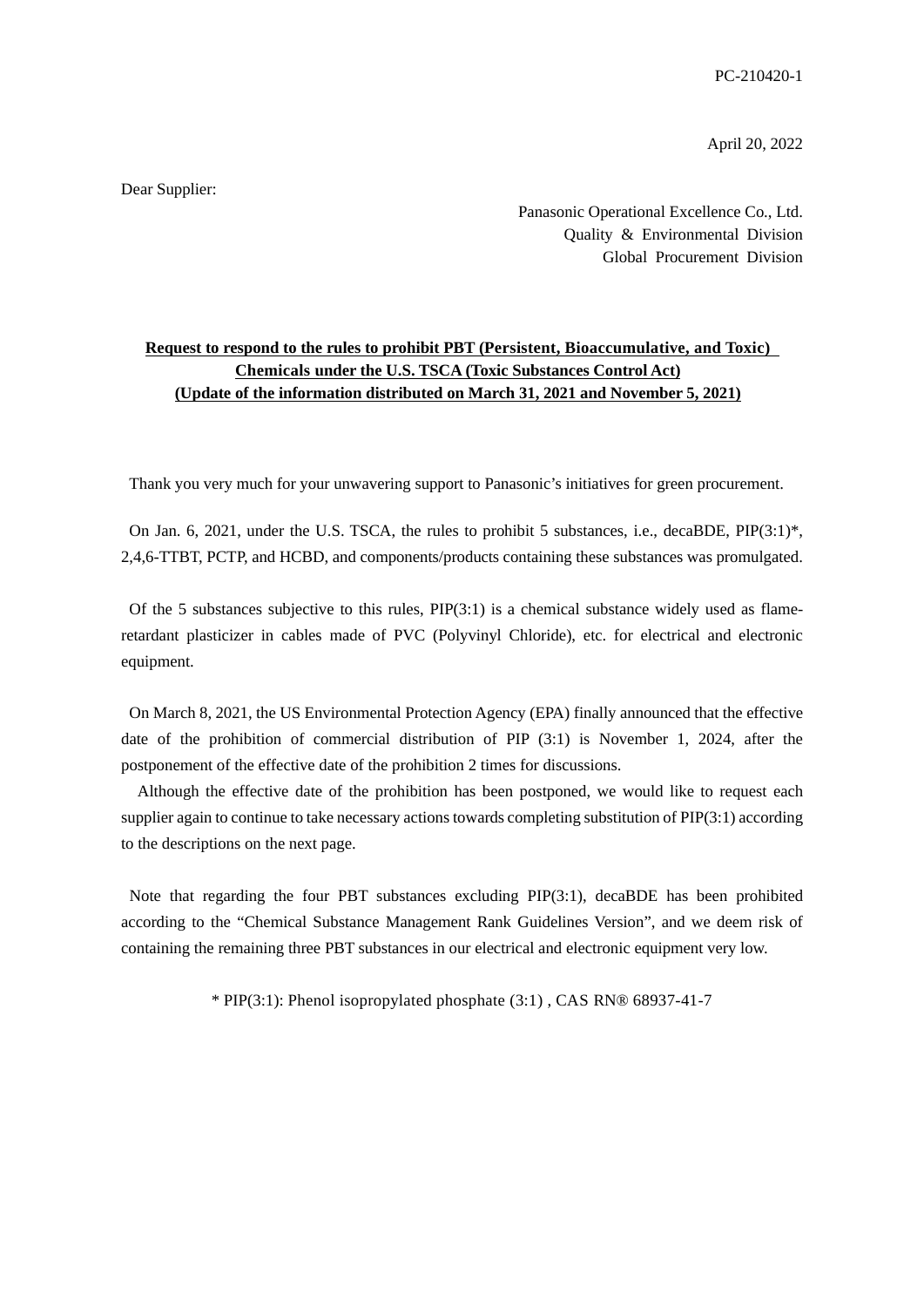PC-210420-1

April 20, 2022

Dear Supplier:

Panasonic Operational Excellence Co., Ltd. Quality & Environmental Division Global Procurement Division

## **Request to respond to the rules to prohibit PBT (Persistent, Bioaccumulative, and Toxic) Chemicals under the U.S. TSCA (Toxic Substances Control Act) (Update of the information distributed on March 31, 2021 and November 5, 2021)**

Thank you very much for your unwavering support to Panasonic's initiatives for green procurement.

On Jan. 6, 2021, under the U.S. TSCA, the rules to prohibit 5 substances, i.e., decaBDE, PIP(3:1)\*, 2,4,6-TTBT, PCTP, and HCBD, and components/products containing these substances was promulgated.

Of the 5 substances subjective to this rules,  $PIP(3:1)$  is a chemical substance widely used as flameretardant plasticizer in cables made of PVC (Polyvinyl Chloride), etc. for electrical and electronic equipment.

On March 8, 2021, the US Environmental Protection Agency (EPA) finally announced that the effective date of the prohibition of commercial distribution of PIP (3:1) is November 1, 2024, after the postponement of the effective date of the prohibition 2 times for discussions.

Although the effective date of the prohibition has been postponed, we would like to request each supplier again to continue to take necessary actions towards completing substitution of PIP(3:1) according to the descriptions on the next page.

Note that regarding the four PBT substances excluding PIP(3:1), decaBDE has been prohibited according to the "Chemical Substance Management Rank Guidelines Version", and we deem risk of containing the remaining three PBT substances in our electrical and electronic equipment very low.

\* PIP(3:1): Phenol isopropylated phosphate (3:1) , CAS RN® 68937-41-7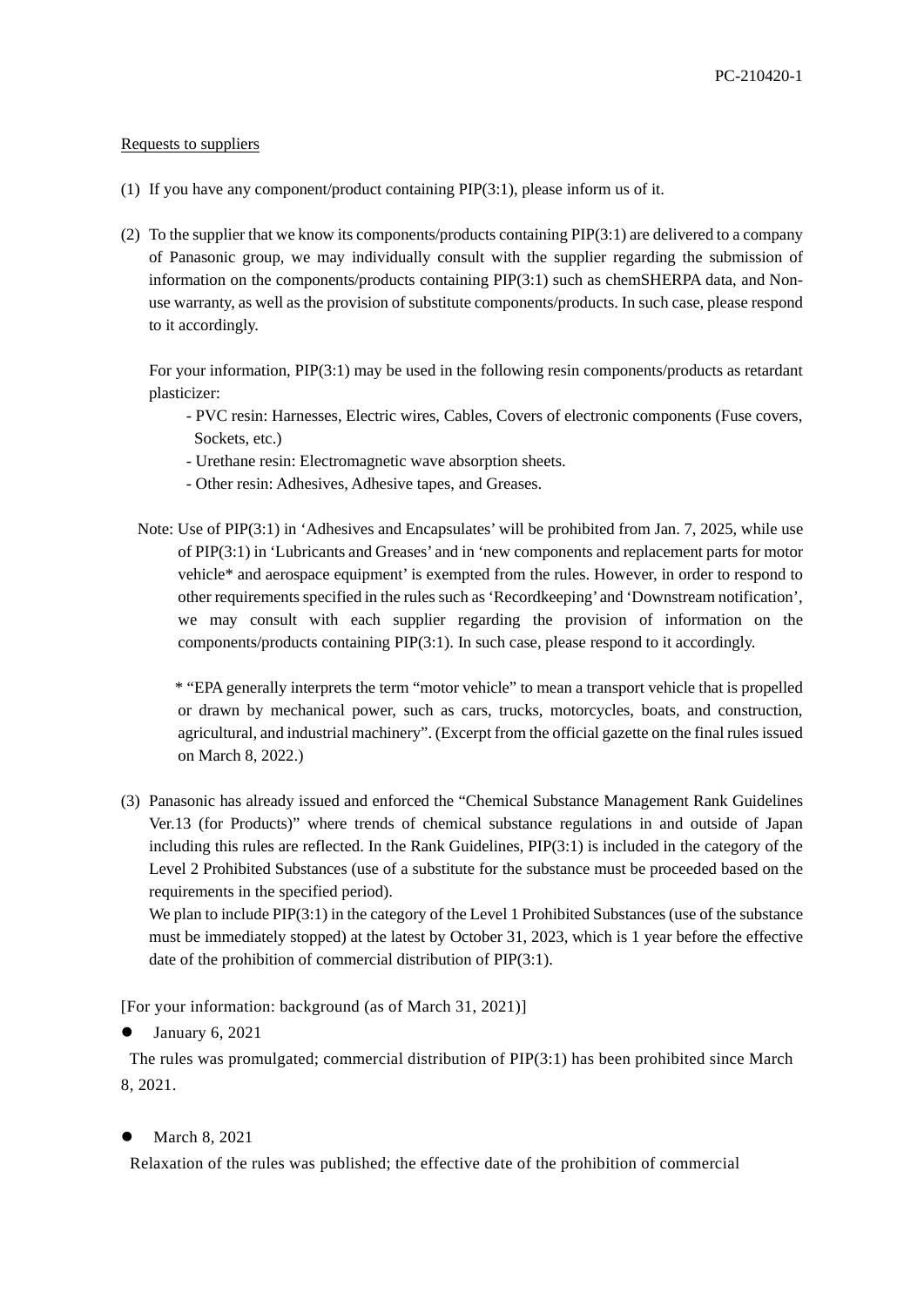## Requests to suppliers

- (1) If you have any component/product containing PIP(3:1), please inform us of it.
- (2) To the supplier that we know its components/products containing PIP(3:1) are delivered to a company of Panasonic group, we may individually consult with the supplier regarding the submission of information on the components/products containing PIP(3:1) such as chemSHERPA data, and Nonuse warranty, as well as the provision of substitute components/products. In such case, please respond to it accordingly.

For your information, PIP(3:1) may be used in the following resin components/products as retardant plasticizer:

- PVC resin: Harnesses, Electric wires, Cables, Covers of electronic components (Fuse covers, Sockets, etc.)
- Urethane resin: Electromagnetic wave absorption sheets.
- Other resin: Adhesives, Adhesive tapes, and Greases.
- Note: Use of PIP(3:1) in 'Adhesives and Encapsulates' will be prohibited from Jan. 7, 2025, while use of PIP(3:1) in 'Lubricants and Greases' and in 'new components and replacement parts for motor vehicle\* and aerospace equipment' is exempted from the rules. However, in order to respond to other requirements specified in the rules such as 'Recordkeeping' and 'Downstream notification', we may consult with each supplier regarding the provision of information on the components/products containing PIP(3:1). In such case, please respond to it accordingly.

 \* "EPA generally interprets the term "motor vehicle" to mean a transport vehicle that is propelled or drawn by mechanical power, such as cars, trucks, motorcycles, boats, and construction, agricultural, and industrial machinery". (Excerpt from the official gazette on the final rules issued on March 8, 2022.)

(3) Panasonic has already issued and enforced the "Chemical Substance Management Rank Guidelines Ver.13 (for Products)" where trends of chemical substance regulations in and outside of Japan including this rules are reflected. In the Rank Guidelines, PIP(3:1) is included in the category of the Level 2 Prohibited Substances (use of a substitute for the substance must be proceeded based on the requirements in the specified period).

We plan to include PIP(3:1) in the category of the Level 1 Prohibited Substances (use of the substance must be immediately stopped) at the latest by October 31, 2023, which is 1 year before the effective date of the prohibition of commercial distribution of PIP(3:1).

[For your information: background (as of March 31, 2021)]

January 6, 2021

The rules was promulgated; commercial distribution of PIP(3:1) has been prohibited since March 8, 2021.

March 8, 2021

Relaxation of the rules was published; the effective date of the prohibition of commercial